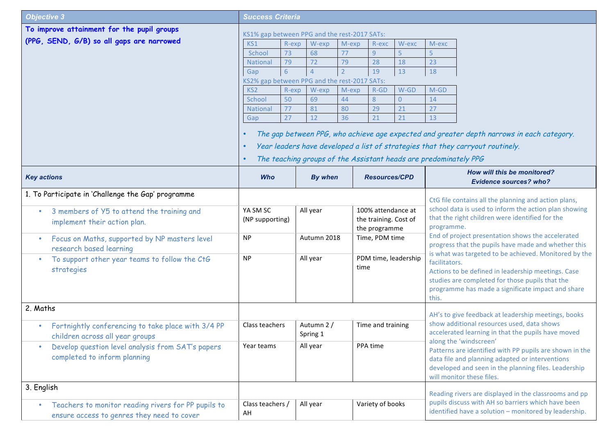| <b>Objective 3</b>                                                                    | <b>Success Criteria</b>                                                                                                                                         |          |                |               |                                             |                |                                                                                                          |                                                                                                         |  |
|---------------------------------------------------------------------------------------|-----------------------------------------------------------------------------------------------------------------------------------------------------------------|----------|----------------|---------------|---------------------------------------------|----------------|----------------------------------------------------------------------------------------------------------|---------------------------------------------------------------------------------------------------------|--|
| To improve attainment for the pupil groups                                            |                                                                                                                                                                 |          |                |               |                                             |                |                                                                                                          |                                                                                                         |  |
| (PPG, SEND, G/B) so all gaps are narrowed                                             | KS1% gap between PPG and the rest-2017 SATs:<br>KS1<br>R-exp<br>W-exp<br>M-exp<br>R-exc<br>W-exc<br>M-exc                                                       |          |                |               |                                             |                |                                                                                                          |                                                                                                         |  |
|                                                                                       | School                                                                                                                                                          | 73       | 68             | 77            | 9                                           | 5              |                                                                                                          |                                                                                                         |  |
|                                                                                       | <b>National</b>                                                                                                                                                 | 79       | 72             | 79            | 28                                          | 18             | 23                                                                                                       |                                                                                                         |  |
|                                                                                       | Gap                                                                                                                                                             | 6        |                |               | 19                                          | 13             | 18                                                                                                       |                                                                                                         |  |
|                                                                                       | KS2% gap between PPG and the rest-2017 SATs:                                                                                                                    |          |                |               |                                             |                |                                                                                                          |                                                                                                         |  |
|                                                                                       | KS <sub>2</sub>                                                                                                                                                 | R-exp    | W-exp          | M-exp         | $R$ -GD                                     | W-GD           | $M-GD$                                                                                                   |                                                                                                         |  |
|                                                                                       | School                                                                                                                                                          | 50       | 69             | 44            | 8                                           | $\overline{0}$ | 14                                                                                                       |                                                                                                         |  |
|                                                                                       | <b>National</b>                                                                                                                                                 | 77       | 81             | 80            | 29                                          | 21             | 27                                                                                                       |                                                                                                         |  |
|                                                                                       | Gap                                                                                                                                                             | 27       | 12             | 36            | 21                                          | 21             | 13                                                                                                       |                                                                                                         |  |
|                                                                                       |                                                                                                                                                                 |          |                |               |                                             |                |                                                                                                          | The gap between PPG, who achieve age expected and greater depth narrows in each category.               |  |
|                                                                                       |                                                                                                                                                                 |          |                |               |                                             |                |                                                                                                          |                                                                                                         |  |
|                                                                                       | Year leaders have developed a list of strategies that they carryout routinely.<br>The teaching groups of the Assistant heads are predominately PPG<br>$\bullet$ |          |                |               |                                             |                |                                                                                                          |                                                                                                         |  |
|                                                                                       |                                                                                                                                                                 |          |                |               |                                             |                |                                                                                                          |                                                                                                         |  |
| <b>Key actions</b>                                                                    | <b>Who</b>                                                                                                                                                      |          | <b>By when</b> |               | <b>Resources/CPD</b>                        |                |                                                                                                          | How will this be monitored?<br><b>Evidence sources? who?</b>                                            |  |
| 1. To Participate in 'Challenge the Gap' programme                                    | CtG file contains all the planning and action plans,                                                                                                            |          |                |               |                                             |                |                                                                                                          |                                                                                                         |  |
| 3 members of Y5 to attend the training and<br>$\bullet$                               | YA SM SC<br>(NP supporting)                                                                                                                                     |          | All year       |               | 100% attendance at<br>the training. Cost of |                |                                                                                                          | school data is used to inform the action plan showing                                                   |  |
| implement their action plan.                                                          |                                                                                                                                                                 |          |                |               |                                             |                |                                                                                                          | that the right children were identified for the                                                         |  |
|                                                                                       |                                                                                                                                                                 |          |                | the programme |                                             | programme.     |                                                                                                          |                                                                                                         |  |
| Focus on Maths, supported by NP masters level<br>$\bullet$<br>research based learning | <b>NP</b>                                                                                                                                                       |          | Autumn 2018    |               | Time, PDM time                              |                | End of project presentation shows the accelerated<br>progress that the pupils have made and whether this |                                                                                                         |  |
| To support other year teams to follow the CtG<br>$\bullet$                            | <b>NP</b>                                                                                                                                                       |          | All year       |               | PDM time, leadership                        |                |                                                                                                          | is what was targeted to be achieved. Monitored by the<br>facilitators.                                  |  |
| strategies                                                                            |                                                                                                                                                                 |          |                | time          |                                             |                | Actions to be defined in leadership meetings. Case                                                       |                                                                                                         |  |
|                                                                                       |                                                                                                                                                                 |          |                |               |                                             |                |                                                                                                          | studies are completed for those pupils that the                                                         |  |
|                                                                                       |                                                                                                                                                                 |          |                |               |                                             |                |                                                                                                          | programme has made a significate impact and share                                                       |  |
|                                                                                       |                                                                                                                                                                 |          |                |               |                                             |                | this.                                                                                                    |                                                                                                         |  |
| 2. Maths                                                                              |                                                                                                                                                                 |          |                |               |                                             |                |                                                                                                          | AH's to give feedback at leadership meetings, books                                                     |  |
| Fortnightly conferencing to take place with 3/4 PP<br>$\bullet$                       | Class teachers                                                                                                                                                  |          | Autumn 2 /     |               | Time and training                           |                |                                                                                                          | show additional resources used, data shows                                                              |  |
| children across all year groups                                                       |                                                                                                                                                                 |          | Spring 1       |               |                                             |                |                                                                                                          | accelerated learning in that the pupils have moved                                                      |  |
| Develop question level analysis from SAT's papers<br>۰                                | Year teams                                                                                                                                                      | All year |                |               | PPA time                                    |                | along the 'windscreen'                                                                                   |                                                                                                         |  |
| completed to inform planning                                                          |                                                                                                                                                                 |          |                |               |                                             |                |                                                                                                          | Patterns are identified with PP pupils are shown in the                                                 |  |
|                                                                                       |                                                                                                                                                                 |          |                |               |                                             |                |                                                                                                          | data file and planning adapted or interventions<br>developed and seen in the planning files. Leadership |  |
|                                                                                       |                                                                                                                                                                 |          |                |               |                                             |                |                                                                                                          | will monitor these files.                                                                               |  |
| 3. English                                                                            |                                                                                                                                                                 |          |                |               |                                             |                |                                                                                                          |                                                                                                         |  |
|                                                                                       |                                                                                                                                                                 |          |                |               |                                             |                |                                                                                                          | Reading rivers are displayed in the classrooms and pp                                                   |  |
| Teachers to monitor reading rivers for PP pupils to<br>$\bullet$                      | Class teachers /                                                                                                                                                |          | All year       |               | Variety of books                            |                |                                                                                                          | pupils discuss with AH so barriers which have been                                                      |  |
| ensure access to genres they need to cover                                            | AH                                                                                                                                                              |          |                |               |                                             |                |                                                                                                          | identified have a solution - monitored by leadership.                                                   |  |
|                                                                                       |                                                                                                                                                                 |          |                |               |                                             |                |                                                                                                          |                                                                                                         |  |